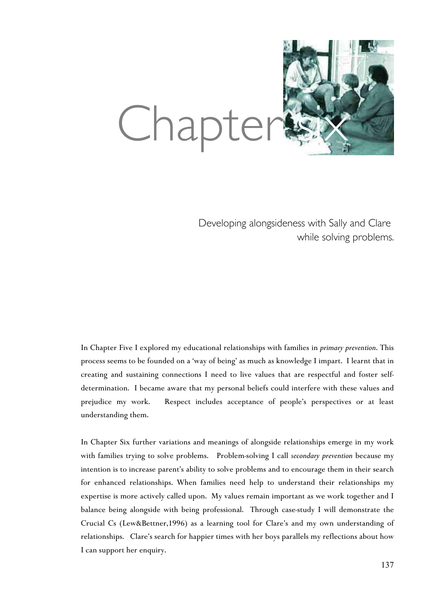

Developing alongsideness with Sally and Clare while solving problems.

In Chapter Five I explored my educational relationships with families in *primary prevention*. This process seems to be founded on a 'way of being' as much as knowledge I impart. I learnt that in creating and sustaining connections I need to live values that are respectful and foster selfdetermination. I became aware that my personal beliefs could interfere with these values and prejudice my work. Respect includes acceptance of people's perspectives or at least understanding them.

In Chapter Six further variations and meanings of alongside relationships emerge in my work with families trying to solve problems. Problem-solving I call *secondary prevention* because my intention is to increase parent's ability to solve problems and to encourage them in their search for enhanced relationships. When families need help to understand their relationships my expertise is more actively called upon. My values remain important as we work together and I balance being alongside with being professional. Through case-study I will demonstrate the Crucial Cs (Lew&Bettner,1996) as a learning tool for Clare's and my own understanding of relationships. Clare's search for happier times with her boys parallels my reflections about how I can support her enquiry.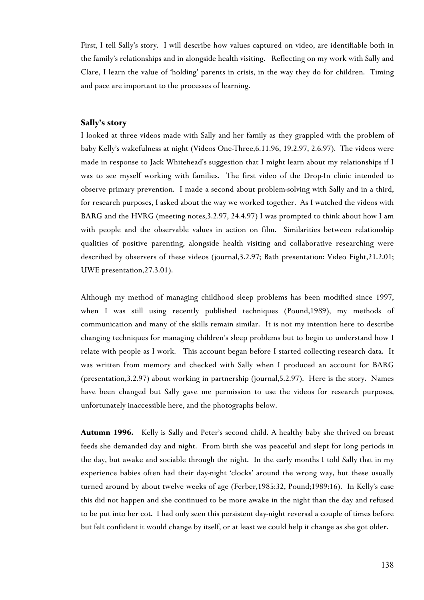First, I tell Sally's story. I will describe how values captured on video, are identifiable both in the family's relationships and in alongside health visiting. Reflecting on my work with Sally and Clare, I learn the value of 'holding' parents in crisis, in the way they do for children. Timing and pace are important to the processes of learning.

## **Sally's story**

I looked at three videos made with Sally and her family as they grappled with the problem of baby Kelly's wakefulness at night (Videos One-Three,6.11.96, 19.2.97, 2.6.97). The videos were made in response to Jack Whitehead's suggestion that I might learn about my relationships if I was to see myself working with families. The first video of the Drop-In clinic intended to observe primary prevention. I made a second about problem-solving with Sally and in a third, for research purposes, I asked about the way we worked together. As I watched the videos with BARG and the HVRG (meeting notes,3.2.97, 24.4.97) I was prompted to think about how I am with people and the observable values in action on film. Similarities between relationship qualities of positive parenting, alongside health visiting and collaborative researching were described by observers of these videos (journal,3.2.97; Bath presentation: Video Eight,21.2.01; UWE presentation,27.3.01).

Although my method of managing childhood sleep problems has been modified since 1997, when I was still using recently published techniques (Pound,1989), my methods of communication and many of the skills remain similar. It is not my intention here to describe changing techniques for managing children's sleep problems but to begin to understand how I relate with people as I work. This account began before I started collecting research data. It was written from memory and checked with Sally when I produced an account for BARG (presentation,3.2.97) about working in partnership (journal,5.2.97). Here is the story. Names have been changed but Sally gave me permission to use the videos for research purposes, unfortunately inaccessible here, and the photographs below.

**Autumn 1996.** Kelly is Sally and Peter's second child. A healthy baby she thrived on breast feeds she demanded day and night. From birth she was peaceful and slept for long periods in the day, but awake and sociable through the night. In the early months I told Sally that in my experience babies often had their day-night 'clocks' around the wrong way, but these usually turned around by about twelve weeks of age (Ferber,1985:32, Pound;1989:16). In Kelly's case this did not happen and she continued to be more awake in the night than the day and refused to be put into her cot. I had only seen this persistent day-night reversal a couple of times before but felt confident it would change by itself, or at least we could help it change as she got older.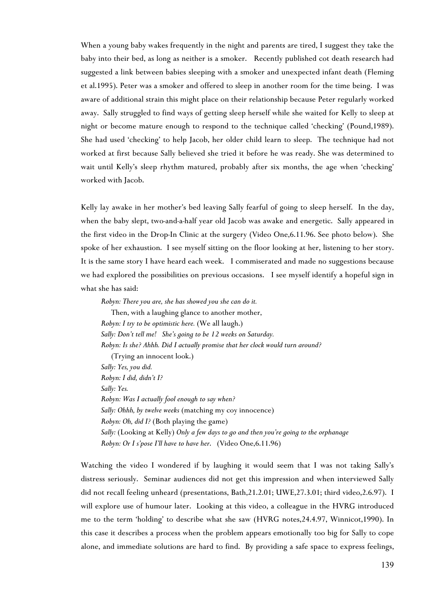When a young baby wakes frequently in the night and parents are tired, I suggest they take the baby into their bed, as long as neither is a smoker. Recently published cot death research had suggested a link between babies sleeping with a smoker and unexpected infant death (Fleming et al.1995). Peter was a smoker and offered to sleep in another room for the time being. I was aware of additional strain this might place on their relationship because Peter regularly worked away. Sally struggled to find ways of getting sleep herself while she waited for Kelly to sleep at night or become mature enough to respond to the technique called 'checking' (Pound,1989). She had used 'checking' to help Jacob, her older child learn to sleep. The technique had not worked at first because Sally believed she tried it before he was ready. She was determined to wait until Kelly's sleep rhythm matured, probably after six months, the age when 'checking' worked with Jacob.

Kelly lay awake in her mother's bed leaving Sally fearful of going to sleep herself. In the day, when the baby slept, two-and-a-half year old Jacob was awake and energetic. Sally appeared in the first video in the Drop-In Clinic at the surgery (Video One,6.11.96. See photo below). She spoke of her exhaustion. I see myself sitting on the floor looking at her, listening to her story. It is the same story I have heard each week. I commiserated and made no suggestions because we had explored the possibilities on previous occasions. I see myself identify a hopeful sign in what she has said:

*Robyn: There you are, she has showed you she can do it.* Then, with a laughing glance to another mother, *Robyn: I try to be optimistic here.* (We all laugh.) *Sally: Don't tell me! She's going to be 12 weeks on Saturday. Robyn: Is she? Ahhh. Did I actually promise that her clock would turn around?* (Trying an innocent look.) *Sally: Yes, you did. Robyn: I did, didn't I? Sally: Yes. Robyn: Was I actually fool enough to say when? Sally: Ohhh, by twelve weeks* (matching my coy innocence) *Robyn: Oh, did I?* (Both playing the game) *Sally:* (Looking at Kelly) *Only a few days to go and then you're going to the orphanage Robyn: Or I s'pose I'll have to have her*. (Video One,6.11.96)

Watching the video I wondered if by laughing it would seem that I was not taking Sally's distress seriously. Seminar audiences did not get this impression and when interviewed Sally did not recall feeling unheard (presentations, Bath,21.2.01; UWE,27.3.01; third video,2.6.97). I will explore use of humour later. Looking at this video, a colleague in the HVRG introduced me to the term 'holding' to describe what she saw (HVRG notes,24.4.97, Winnicot,1990). In this case it describes a process when the problem appears emotionally too big for Sally to cope alone, and immediate solutions are hard to find. By providing a safe space to express feelings,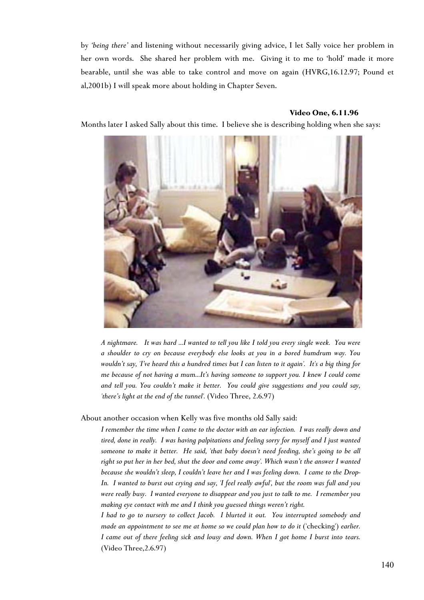by *'being there'* and listening without necessarily giving advice, I let Sally voice her problem in her own words. She shared her problem with me. Giving it to me to 'hold' made it more bearable, until she was able to take control and move on again (HVRG,16.12.97; Pound et al,2001b) I will speak more about holding in Chapter Seven.

#### **Video One, 6.11.96**

Months later I asked Sally about this time. I believe she is describing holding when she says:



*A nightmare. It was hard ...I wanted to tell you like I told you every single week. You were a shoulder to cry on because everybody else looks at you in a bored humdrum way. You wouldn't say, 'I've heard this a hundred times but I can listen to it again'. It's a big thing for me because of not having a mum...It's having someone to support you. I knew I could come and tell you. You couldn't make it better. You could give suggestions and you could say, 'there's light at the end of the tunnel'.* (Video Three, 2.6.97)

About another occasion when Kelly was five months old Sally said:

*I remember the time when I came to the doctor with an ear infection. I was really down and tired, done in really. I was having palpitations and feeling sorry for myself and I just wanted someone to make it better. He said, 'that baby doesn't need feeding, she's going to be all right so put her in her bed, shut the door and come away'. Which wasn't the answer I wanted because she wouldn't sleep, I couldn't leave her and I was feeling down. I came to the Drop-In. I wanted to burst out crying and say, 'I feel really awful', but the room was full and you were really busy. I wanted everyone to disappear and you just to talk to me. I remember you making eye contact with me and I think you guessed things weren't right.*

*I had to go to nursery to collect Jacob. I blurted it out. You interrupted somebody and made an appointment to see me at home so we could plan how to do it ('checking') earlier. I came out of there feeling sick and lousy and down. When I got home I burst into tears.* (Video Three,2.6.97)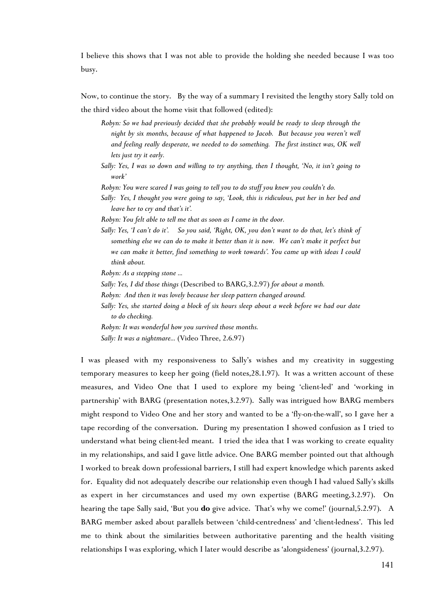I believe this shows that I was not able to provide the holding she needed because I was too busy.

Now, to continue the story. By the way of a summary I revisited the lengthy story Sally told on the third video about the home visit that followed (edited):

- *Robyn: So we had previously decided that she probably would be ready to sleep through the night by six months, because of what happened to Jacob. But because you weren't well and feeling really desperate, we needed to do something. The first instinct was, OK well lets just try it early.*
- *Sally: Yes, I was so down and willing to try anything, then I thought, 'No, it isn't going to work'*
- *Robyn: You were scared I was going to tell you to do stuff you knew you couldn't do.*
- *Sally: Yes, I thought you were going to say, 'Look, this is ridiculous, put her in her bed and leave her to cry and that's it'.*
- *Robyn: You felt able to tell me that as soon as I came in the door.*
- *Sally: Yes, 'I can't do it'. So you said, 'Right, OK, you don't want to do that, let's think of something else we can do to make it better than it is now. We can't make it perfect but we can make it better, find something to work towards'. You came up with ideas I could think about.*

*Robyn: As a stepping stone ...*

- *Sally: Yes, I did those things* (Described to BARG,3.2.97) *for about a month.*
- *Robyn: And then it was lovely because her sleep pattern changed around.*
- *Sally: Yes, she started doing a block of six hours sleep about a week before we had our date to do checking.*
- *Robyn: It was wonderful how you survived those months.*
- *Sally: It was a nightmare...* (Video Three, 2.6.97)

I was pleased with my responsiveness to Sally's wishes and my creativity in suggesting temporary measures to keep her going (field notes,28.1.97). It was a written account of these measures, and Video One that I used to explore my being 'client-led' and 'working in partnership' with BARG (presentation notes,3.2.97). Sally was intrigued how BARG members might respond to Video One and her story and wanted to be a 'fly-on-the-wall', so I gave her a tape recording of the conversation. During my presentation I showed confusion as I tried to understand what being client-led meant. I tried the idea that I was working to create equality in my relationships, and said I gave little advice. One BARG member pointed out that although I worked to break down professional barriers, I still had expert knowledge which parents asked for. Equality did not adequately describe our relationship even though I had valued Sally's skills as expert in her circumstances and used my own expertise (BARG meeting,3.2.97). On hearing the tape Sally said, 'But you **do** give advice. That's why we come!' (journal,5.2.97). A BARG member asked about parallels between 'child-centredness' and 'client-ledness'. This led me to think about the similarities between authoritative parenting and the health visiting relationships I was exploring, which I later would describe as 'alongsideness' (journal,3.2.97).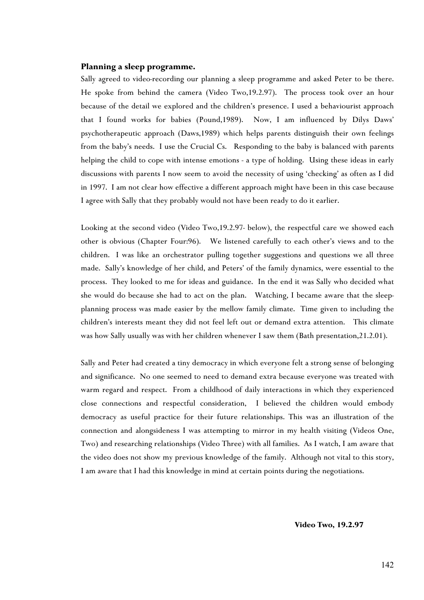#### **Planning a sleep programme.**

Sally agreed to video-recording our planning a sleep programme and asked Peter to be there. He spoke from behind the camera (Video Two,19.2.97). The process took over an hour because of the detail we explored and the children's presence. I used a behaviourist approach that I found works for babies (Pound,1989). Now, I am influenced by Dilys Daws' psychotherapeutic approach (Daws,1989) which helps parents distinguish their own feelings from the baby's needs. I use the Crucial Cs. Responding to the baby is balanced with parents helping the child to cope with intense emotions - a type of holding. Using these ideas in early discussions with parents I now seem to avoid the necessity of using 'checking' as often as I did in 1997. I am not clear how effective a different approach might have been in this case because I agree with Sally that they probably would not have been ready to do it earlier.

Looking at the second video (Video Two,19.2.97- below), the respectful care we showed each other is obvious (Chapter Four:96). We listened carefully to each other's views and to the children. I was like an orchestrator pulling together suggestions and questions we all three made. Sally's knowledge of her child, and Peters' of the family dynamics, were essential to the process. They looked to me for ideas and guidance. In the end it was Sally who decided what she would do because she had to act on the plan. Watching, I became aware that the sleepplanning process was made easier by the mellow family climate. Time given to including the children's interests meant they did not feel left out or demand extra attention. This climate was how Sally usually was with her children whenever I saw them (Bath presentation,21.2.01).

Sally and Peter had created a tiny democracy in which everyone felt a strong sense of belonging and significance. No one seemed to need to demand extra because everyone was treated with warm regard and respect. From a childhood of daily interactions in which they experienced close connections and respectful consideration, I believed the children would embody democracy as useful practice for their future relationships. This was an illustration of the connection and alongsideness I was attempting to mirror in my health visiting (Videos One, Two) and researching relationships (Video Three) with all families. As I watch, I am aware that the video does not show my previous knowledge of the family. Although not vital to this story, I am aware that I had this knowledge in mind at certain points during the negotiations.

**Video Two, 19.2.97**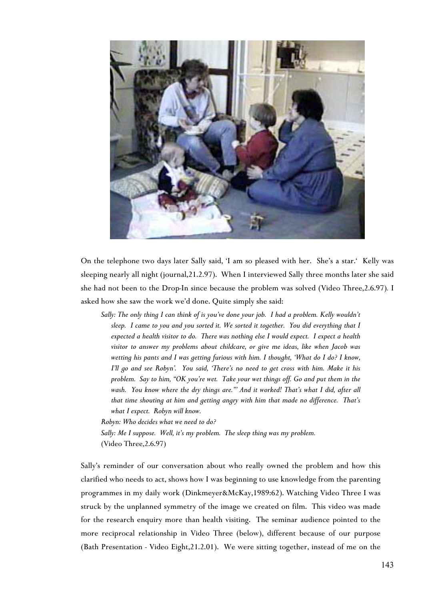

On the telephone two days later Sally said, 'I am so pleased with her. She's a star.' Kelly was sleeping nearly all night (journal,21.2.97). When I interviewed Sally three months later she said she had not been to the Drop-In since because the problem was solved (Video Three,2.6.97)*.* I asked how she saw the work we'd done. Quite simply she said:

*Sally: The only thing I can think of is you've done your job. I had a problem. Kelly wouldn't sleep. I came to you and you sorted it. We sorted it together. You did everything that I expected a health visitor to do. There was nothing else I would expect. I expect a health visitor to answer my problems about childcare, or give me ideas, like when Jacob was wetting his pants and I was getting furious with him. I thought, 'What do I do? I know, I'll go and see Robyn'. You said, 'There's no need to get cross with him. Make it his problem. Say to him, "OK you're wet. Take your wet things off. Go and put them in the wash. You know where the dry things are."' And it worked! That's what I did, after all that time shouting at him and getting angry with him that made no difference. That's what I expect. Robyn will know.*

*Robyn: Who decides what we need to do? Sally: Me I suppose. Well, it's my problem. The sleep thing was my problem.*

(Video Three,2.6.97)

Sally's reminder of our conversation about who really owned the problem and how this clarified who needs to act, shows how I was beginning to use knowledge from the parenting programmes in my daily work (Dinkmeyer&McKay,1989:62). Watching Video Three I was struck by the unplanned symmetry of the image we created on film. This video was made for the research enquiry more than health visiting. The seminar audience pointed to the more reciprocal relationship in Video Three (below), different because of our purpose (Bath Presentation - Video Eight,21.2.01). We were sitting together, instead of me on the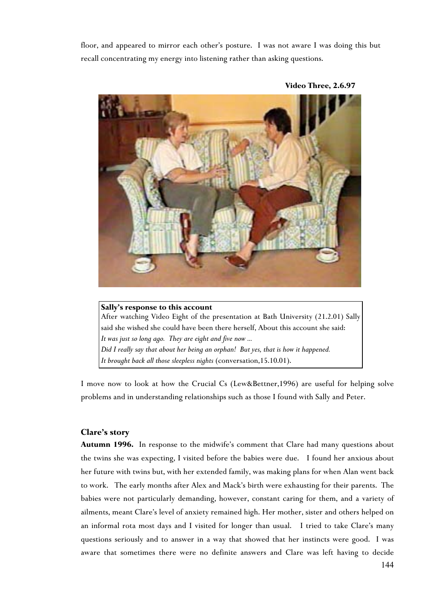floor, and appeared to mirror each other's posture. I was not aware I was doing this but recall concentrating my energy into listening rather than asking questions.



 **Video Three, 2.6.97**

# **Sally's response to this account** After watching Video Eight of the presentation at Bath University (21.2.01) Sally said she wished she could have been there herself, About this account she said: *It was just so long ago. They are eight and five now ... Did I really say that about her being an orphan! But yes, that is how it happened. It brought back all those sleepless nights* (conversation,15.10.01).

I move now to look at how the Crucial Cs (Lew&Bettner,1996) are useful for helping solve problems and in understanding relationships such as those I found with Sally and Peter.

# **Clare's story**

**Autumn 1996.** In response to the midwife's comment that Clare had many questions about the twins she was expecting, I visited before the babies were due. I found her anxious about her future with twins but, with her extended family, was making plans for when Alan went back to work. The early months after Alex and Mack's birth were exhausting for their parents. The babies were not particularly demanding, however, constant caring for them, and a variety of ailments, meant Clare's level of anxiety remained high. Her mother, sister and others helped on an informal rota most days and I visited for longer than usual. I tried to take Clare's many questions seriously and to answer in a way that showed that her instincts were good. I was aware that sometimes there were no definite answers and Clare was left having to decide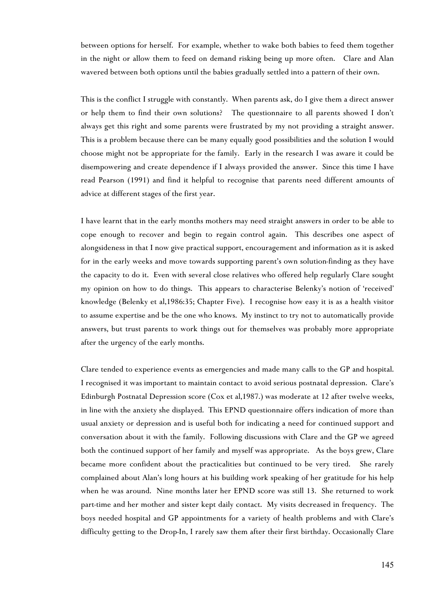between options for herself. For example, whether to wake both babies to feed them together in the night or allow them to feed on demand risking being up more often. Clare and Alan wavered between both options until the babies gradually settled into a pattern of their own.

This is the conflict I struggle with constantly. When parents ask, do I give them a direct answer or help them to find their own solutions? The questionnaire to all parents showed I don't always get this right and some parents were frustrated by my not providing a straight answer. This is a problem because there can be many equally good possibilities and the solution I would choose might not be appropriate for the family. Early in the research I was aware it could be disempowering and create dependence if I always provided the answer. Since this time I have read Pearson (1991) and find it helpful to recognise that parents need different amounts of advice at different stages of the first year.

I have learnt that in the early months mothers may need straight answers in order to be able to cope enough to recover and begin to regain control again. This describes one aspect of alongsideness in that I now give practical support, encouragement and information as it is asked for in the early weeks and move towards supporting parent's own solution-finding as they have the capacity to do it. Even with several close relatives who offered help regularly Clare sought my opinion on how to do things. This appears to characterise Belenky's notion of 'received' knowledge (Belenky et al,1986:35; Chapter Five). I recognise how easy it is as a health visitor to assume expertise and be the one who knows. My instinct to try not to automatically provide answers, but trust parents to work things out for themselves was probably more appropriate after the urgency of the early months.

Clare tended to experience events as emergencies and made many calls to the GP and hospital. I recognised it was important to maintain contact to avoid serious postnatal depression. Clare's Edinburgh Postnatal Depression score (Cox et al,1987.) was moderate at 12 after twelve weeks, in line with the anxiety she displayed. This EPND questionnaire offers indication of more than usual anxiety or depression and is useful both for indicating a need for continued support and conversation about it with the family. Following discussions with Clare and the GP we agreed both the continued support of her family and myself was appropriate. As the boys grew, Clare became more confident about the practicalities but continued to be very tired. She rarely complained about Alan's long hours at his building work speaking of her gratitude for his help when he was around. Nine months later her EPND score was still 13. She returned to work part-time and her mother and sister kept daily contact. My visits decreased in frequency. The boys needed hospital and GP appointments for a variety of health problems and with Clare's difficulty getting to the Drop-In, I rarely saw them after their first birthday. Occasionally Clare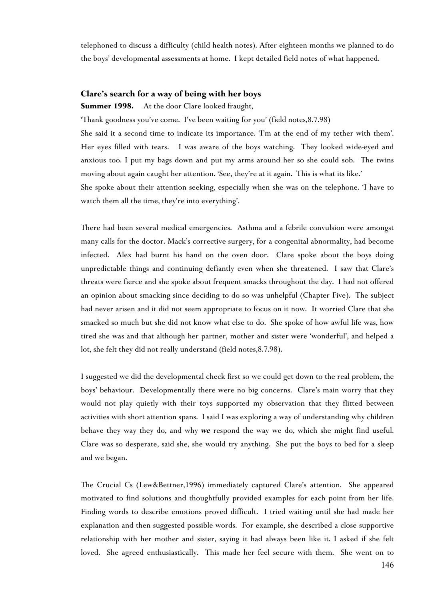telephoned to discuss a difficulty (child health notes). After eighteen months we planned to do the boys' developmental assessments at home. I kept detailed field notes of what happened.

## **Clare's search for a way of being with her boys**

**Summer 1998.** At the door Clare looked fraught,

'Thank goodness you've come. I've been waiting for you' (field notes,8.7.98)

She said it a second time to indicate its importance. 'I'm at the end of my tether with them'. Her eyes filled with tears. I was aware of the boys watching. They looked wide-eyed and anxious too. I put my bags down and put my arms around her so she could sob. The twins moving about again caught her attention. 'See, they're at it again. This is what its like.'

She spoke about their attention seeking, especially when she was on the telephone. 'I have to watch them all the time, they're into everything'.

There had been several medical emergencies. Asthma and a febrile convulsion were amongst many calls for the doctor. Mack's corrective surgery, for a congenital abnormality, had become infected. Alex had burnt his hand on the oven door. Clare spoke about the boys doing unpredictable things and continuing defiantly even when she threatened. I saw that Clare's threats were fierce and she spoke about frequent smacks throughout the day. I had not offered an opinion about smacking since deciding to do so was unhelpful (Chapter Five). The subject had never arisen and it did not seem appropriate to focus on it now. It worried Clare that she smacked so much but she did not know what else to do. She spoke of how awful life was, how tired she was and that although her partner, mother and sister were 'wonderful', and helped a lot, she felt they did not really understand (field notes,8.7.98).

I suggested we did the developmental check first so we could get down to the real problem, the boys' behaviour. Developmentally there were no big concerns. Clare's main worry that they would not play quietly with their toys supported my observation that they flitted between activities with short attention spans. I said I was exploring a way of understanding why children behave they way they do, and why *we* respond the way we do, which she might find useful. Clare was so desperate, said she, she would try anything. She put the boys to bed for a sleep and we began.

The Crucial Cs (Lew&Bettner,1996) immediately captured Clare's attention. She appeared motivated to find solutions and thoughtfully provided examples for each point from her life. Finding words to describe emotions proved difficult. I tried waiting until she had made her explanation and then suggested possible words. For example, she described a close supportive relationship with her mother and sister, saying it had always been like it. I asked if she felt loved. She agreed enthusiastically. This made her feel secure with them. She went on to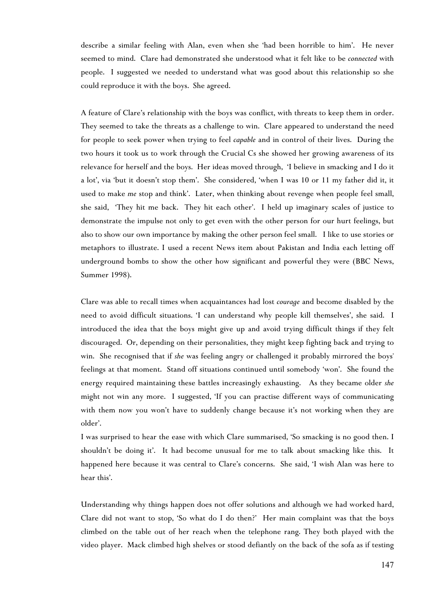describe a similar feeling with Alan, even when she 'had been horrible to him'. He never seemed to mind. Clare had demonstrated she understood what it felt like to be *connected* with people. I suggested we needed to understand what was good about this relationship so she could reproduce it with the boys. She agreed.

A feature of Clare's relationship with the boys was conflict, with threats to keep them in order. They seemed to take the threats as a challenge to win. Clare appeared to understand the need for people to seek power when trying to feel *capable* and in control of their lives. During the two hours it took us to work through the Crucial Cs she showed her growing awareness of its relevance for herself and the boys. Her ideas moved through, 'I believe in smacking and I do it a lot', via 'but it doesn't stop them'. She considered, 'when I was 10 or 11 my father did it, it used to make *me* stop and think'. Later, when thinking about revenge when people feel small, she said, 'They hit me back. They hit each other'. I held up imaginary scales of justice to demonstrate the impulse not only to get even with the other person for our hurt feelings, but also to show our own importance by making the other person feel small. I like to use stories or metaphors to illustrate. I used a recent News item about Pakistan and India each letting off underground bombs to show the other how significant and powerful they were (BBC News, Summer 1998).

Clare was able to recall times when acquaintances had lost *courage* and become disabled by the need to avoid difficult situations. 'I can understand why people kill themselves', she said. I introduced the idea that the boys might give up and avoid trying difficult things if they felt discouraged. Or, depending on their personalities, they might keep fighting back and trying to win. She recognised that if *she* was feeling angry or challenged it probably mirrored the boys' feelings at that moment. Stand off situations continued until somebody 'won'. She found the energy required maintaining these battles increasingly exhausting. As they became older *she* might not win any more. I suggested, 'If you can practise different ways of communicating with them now you won't have to suddenly change because it's not working when they are older'.

I was surprised to hear the ease with which Clare summarised, 'So smacking is no good then. I shouldn't be doing it'. It had become unusual for me to talk about smacking like this. It happened here because it was central to Clare's concerns. She said, 'I wish Alan was here to hear this'.

Understanding why things happen does not offer solutions and although we had worked hard, Clare did not want to stop, 'So what do I do then?' Her main complaint was that the boys climbed on the table out of her reach when the telephone rang. They both played with the video player. Mack climbed high shelves or stood defiantly on the back of the sofa as if testing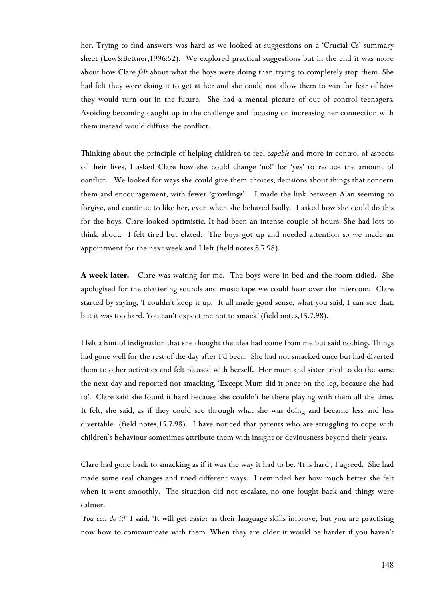her. Trying to find answers was hard as we looked at suggestions on a 'Crucial Cs' summary sheet (Lew&Bettner,1996:52). We explored practical suggestions but in the end it was more about how Clare *felt* about what the boys were doing than trying to completely stop them. She had felt they were doing it to get at her and she could not allow them to win for fear of how they would turn out in the future. She had a mental picture of out of control teenagers. Avoiding becoming caught up in the challenge and focusing on increasing her connection with them instead would diffuse the conflict.

Thinking about the principle of helping children to feel *capable* and more in control of aspects of their lives, I asked Clare how she could change 'no!' for 'yes' to reduce the amount of conflict. We looked for ways she could give them choices, decisions about things that concern them and encouragement, with fewer 'growlings'<sup>[1](#page-11-0)</sup>. I made the link between Alan seeming to forgive, and continue to like her, even when she behaved badly. I asked how she could do this for the boys. Clare looked optimistic. It had been an intense couple of hours. She had lots to think about. I felt tired but elated. The boys got up and needed attention so we made an appointment for the next week and I left (field notes,8.7.98).

**A week later.** Clare was waiting for me. The boys were in bed and the room tidied. She apologised for the chattering sounds and music tape we could hear over the intercom. Clare started by saying, 'I couldn't keep it up. It all made good sense, what you said, I can see that, but it was too hard. You can't expect me not to smack' (field notes,15.7.98).

I felt a hint of indignation that she thought the idea had come from me but said nothing. Things had gone well for the rest of the day after I'd been. She had not smacked once but had diverted them to other activities and felt pleased with herself. Her mum and sister tried to do the same the next day and reported not smacking, 'Except Mum did it once on the leg, because she had to'. Clare said she found it hard because she couldn't be there playing with them all the time. It felt, she said, as if they could see through what she was doing and became less and less divertable (field notes,15.7.98). I have noticed that parents who are struggling to cope with children's behaviour sometimes attribute them with insight or deviousness beyond their years.

Clare had gone back to smacking as if it was the way it had to be. 'It is hard', I agreed. She had made some real changes and tried different ways. I reminded her how much better she felt when it went smoothly. The situation did not escalate, no one fought back and things were calmer.

<span id="page-11-0"></span>*'You can do it!'* I said, 'It will get easier as their language skills improve, but you are practising now how to communicate with them. When they are older it would be harder if you haven't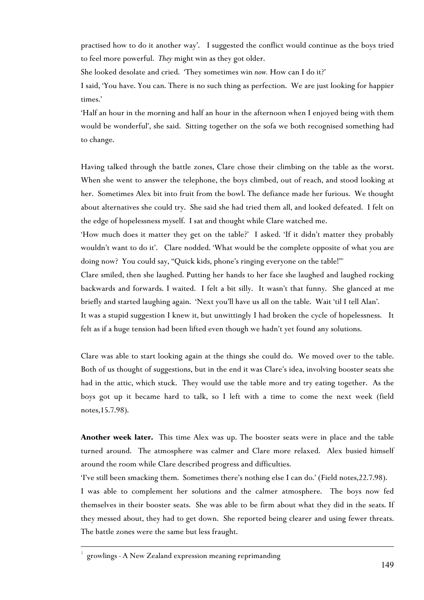practised how to do it another way'.I suggested the conflict would continue as the boys tried to feel more powerful. *They* might win as they got older.

She looked desolate and cried. 'They sometimes win *now.* How can I do it?'

I said, 'You have. You can. There is no such thing as perfection. We are just looking for happier times.'

'Half an hour in the morning and half an hour in the afternoon when I enjoyed being with them would be wonderful', she said. Sitting together on the sofa we both recognised something had to change.

Having talked through the battle zones, Clare chose their climbing on the table as the worst. When she went to answer the telephone, the boys climbed, out of reach, and stood looking at her. Sometimes Alex bit into fruit from the bowl. The defiance made her furious. We thought about alternatives she could try. She said she had tried them all, and looked defeated. I felt on the edge of hopelessness myself. I sat and thought while Clare watched me.

'How much does it matter they get on the table?' I asked. 'If it didn't matter they probably wouldn't want to do it'. Clare nodded. 'What would be the complete opposite of what you are doing now? You could say, "Quick kids, phone's ringing everyone on the table!"'

Clare smiled, then she laughed. Putting her hands to her face she laughed and laughed rocking backwards and forwards. I waited. I felt a bit silly. It wasn't that funny. She glanced at me briefly and started laughing again. 'Next you'll have us all on the table. Wait 'til I tell Alan'.

It was a stupid suggestion I knew it, but unwittingly I had broken the cycle of hopelessness. It felt as if a huge tension had been lifted even though we hadn't yet found any solutions.

Clare was able to start looking again at the things she could do. We moved over to the table. Both of us thought of suggestions, but in the end it was Clare's idea, involving booster seats she had in the attic, which stuck. They would use the table more and try eating together. As the boys got up it became hard to talk, so I left with a time to come the next week (field notes,15.7.98).

**Another week later.** This time Alex was up. The booster seats were in place and the table turned around. The atmosphere was calmer and Clare more relaxed. Alex busied himself around the room while Clare described progress and difficulties.

'I've still been smacking them. Sometimes there's nothing else I can do.' (Field notes,22.7.98).

I was able to complement her solutions and the calmer atmosphere. The boys now fed themselves in their booster seats. She was able to be firm about what they did in the seats. If they messed about, they had to get down. She reported being clearer and using fewer threats. The battle zones were the same but less fraught.

 $\overline{a}$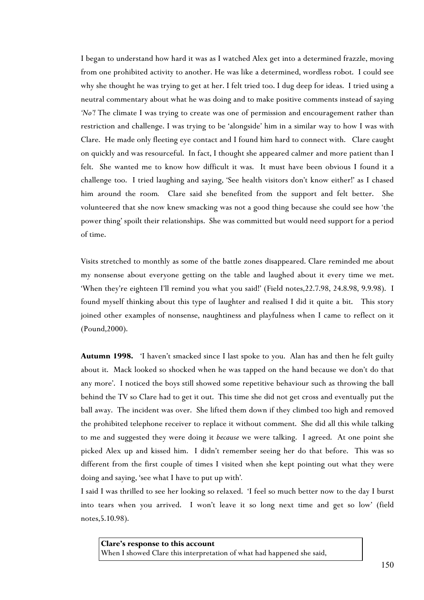I began to understand how hard it was as I watched Alex get into a determined frazzle, moving from one prohibited activity to another. He was like a determined, wordless robot. I could see why she thought he was trying to get at her. I felt tried too. I dug deep for ideas. I tried using a neutral commentary about what he was doing and to make positive comments instead of saying *'No'!* The climate I was trying to create was one of permission and encouragement rather than restriction and challenge. I was trying to be 'alongside' him in a similar way to how I was with Clare. He made only fleeting eye contact and I found him hard to connect with. Clare caught on quickly and was resourceful. In fact, I thought she appeared calmer and more patient than I felt. She wanted me to know how difficult it was. It must have been obvious I found it a challenge too. I tried laughing and saying, 'See health visitors don't know either!' as I chased him around the room*.* Clare said she benefited from the support and felt better. She volunteered that she now knew smacking was not a good thing because she could see how 'the power thing' spoilt their relationships. She was committed but would need support for a period of time.

Visits stretched to monthly as some of the battle zones disappeared. Clare reminded me about my nonsense about everyone getting on the table and laughed about it every time we met. 'When they're eighteen I'll remind you what you said!' (Field notes,22.7.98, 24.8.98, 9.9.98). I found myself thinking about this type of laughter and realised I did it quite a bit. This story joined other examples of nonsense, naughtiness and playfulness when I came to reflect on it (Pound,2000).

**Autumn 1998.** 'I haven't smacked since I last spoke to you. Alan has and then he felt guilty about it. Mack looked so shocked when he was tapped on the hand because we don't do that any more'. I noticed the boys still showed some repetitive behaviour such as throwing the ball behind the TV so Clare had to get it out. This time she did not get cross and eventually put the ball away. The incident was over. She lifted them down if they climbed too high and removed the prohibited telephone receiver to replace it without comment. She did all this while talking to me and suggested they were doing it *because* we were talking. I agreed. At one point she picked Alex up and kissed him. I didn't remember seeing her do that before. This was so different from the first couple of times I visited when she kept pointing out what they were doing and saying, 'see what I have to put up with'*.*

I said I was thrilled to see her looking so relaxed. 'I feel so much better now to the day I burst into tears when you arrived. I won't leave it so long next time and get so low' (field notes,5.10.98).

**Clare's response to this account** When I showed Clare this interpretation of what had happened she said,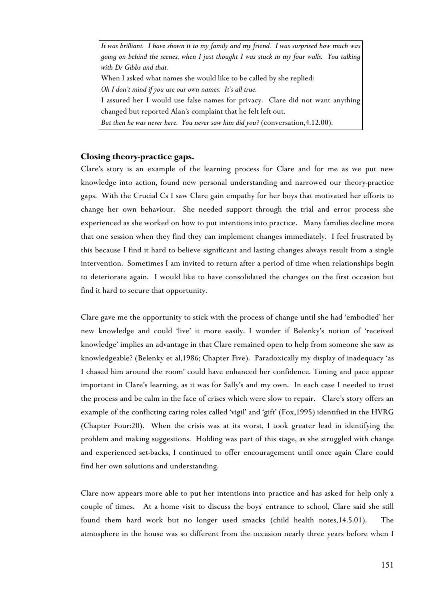*It was brilliant. I have shown it to my family and my friend. I was surprised how much was going on behind the scenes, when I just thought I was stuck in my four walls. You talking with Dr Gibbs and that.* When I asked what names she would like to be called by she replied: *Oh I don't mind if you use our own names. It's all true.* I assured her I would use false names for privacy. Clare did not want anything changed but reported Alan's complaint that he felt left out. *But then he was never here. You never saw him did you?* (conversation,4.12.00).

#### **Closing theory-practice gaps.**

Clare's story is an example of the learning process for Clare and for me as we put new knowledge into action, found new personal understanding and narrowed our theory-practice gaps. With the Crucial Cs I saw Clare gain empathy for her boys that motivated her efforts to change her own behaviour. She needed support through the trial and error process she experienced as she worked on how to put intentions into practice. Many families decline more that one session when they find they can implement changes immediately. I feel frustrated by this because I find it hard to believe significant and lasting changes always result from a single intervention. Sometimes I am invited to return after a period of time when relationships begin to deteriorate again. I would like to have consolidated the changes on the first occasion but find it hard to secure that opportunity.

Clare gave me the opportunity to stick with the process of change until she had 'embodied' her new knowledge and could 'live' it more easily. I wonder if Belenky's notion of 'received knowledge' implies an advantage in that Clare remained open to help from someone she saw as knowledgeable? (Belenky et al,1986; Chapter Five). Paradoxically my display of inadequacy 'as I chased him around the room' could have enhanced her confidence. Timing and pace appear important in Clare's learning, as it was for Sally's and my own. In each case I needed to trust the process and be calm in the face of crises which were slow to repair. Clare's story offers an example of the conflicting caring roles called 'vigil' and 'gift' (Fox,1995) identified in the HVRG (Chapter Four:20). When the crisis was at its worst, I took greater lead in identifying the problem and making suggestions. Holding was part of this stage, as she struggled with change and experienced set-backs, I continued to offer encouragement until once again Clare could find her own solutions and understanding.

Clare now appears more able to put her intentions into practice and has asked for help only a couple of times. At a home visit to discuss the boys' entrance to school, Clare said she still found them hard work but no longer used smacks (child health notes,14.5.01). The atmosphere in the house was so different from the occasion nearly three years before when I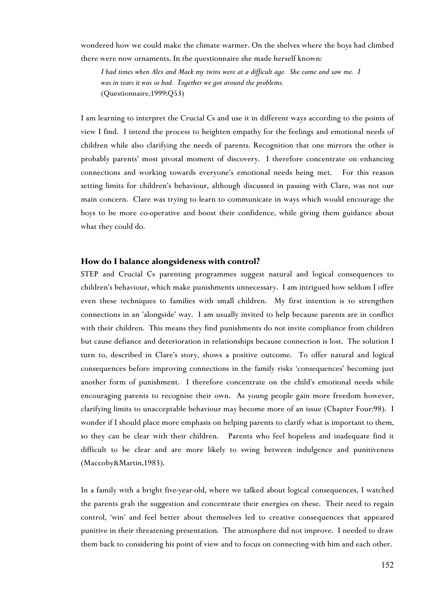wondered how we could make the climate warmer. On the shelves where the boys had climbed there were now ornaments. In the questionnaire she made herself known:

*I had times when Alex and Mack my twins were at a difficult age. She came and saw me. I was in tears it was so bad. Together we got around the problems.* (Questionnaire,1999:Q53)

I am learning to interpret the Crucial Cs and use it in different ways according to the points of view I find. I intend the process to heighten empathy for the feelings and emotional needs of children while also clarifying the needs of parents. Recognition that one mirrors the other is probably parents' most pivotal moment of discovery. I therefore concentrate on enhancing connections and working towards everyone's emotional needs being met. For this reason setting limits for children's behaviour, although discussed in passing with Clare, was not our main concern. Clare was trying to learn to communicate in ways which would encourage the boys to be more co-operative and boost their confidence, while giving them guidance about what they could do.

## **How do I balance alongsideness with control?**

STEP and Crucial Cs parenting programmes suggest natural and logical consequences to children's behaviour, which make punishments unnecessary. I am intrigued how seldom I offer even these techniques to families with small children. My first intention is to strengthen connections in an 'alongside' way. I am usually invited to help because parents are in conflict with their children. This means they find punishments do not invite compliance from children but cause defiance and deterioration in relationships because connection is lost. The solution I turn to, described in Clare's story, shows a positive outcome. To offer natural and logical consequences before improving connections in the family risks 'consequences' becoming just another form of punishment. I therefore concentrate on the child's emotional needs while encouraging parents to recognise their own. As young people gain more freedom however, clarifying limits to unacceptable behaviour may become more of an issue (Chapter Four:98). I wonder if I should place more emphasis on helping parents to clarify what is important to them, so they can be clear with their children. Parents who feel hopeless and inadequate find it difficult to be clear and are more likely to swing between indulgence and punitiveness (Maccoby&Martin,1983).

In a family with a bright five-year-old, where we talked about logical consequences, I watched the parents grab the suggestion and concentrate their energies on these. Their need to regain control, 'win' and feel better about themselves led to creative consequences that appeared punitive in their threatening presentation. The atmosphere did not improve. I needed to draw them back to considering his point of view and to focus on connecting with him and each other.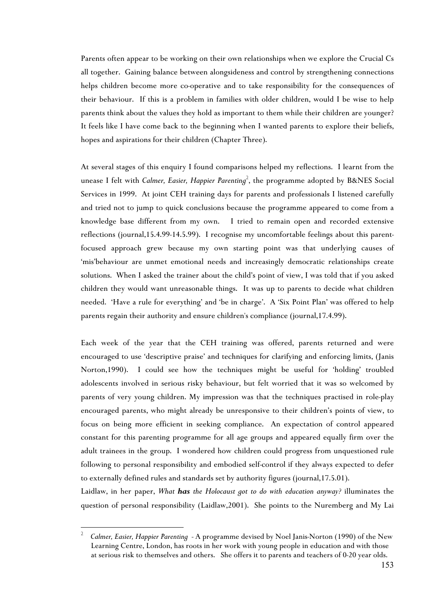Parents often appear to be working on their own relationships when we explore the Crucial Cs all together. Gaining balance between alongsideness and control by strengthening connections helps children become more co-operative and to take responsibility for the consequences of their behaviour. If this is a problem in families with older children, would I be wise to help parents think about the values they hold as important to them while their children are younger? It feels like I have come back to the beginning when I wanted parents to explore their beliefs, hopes and aspirations for their children (Chapter Three).

At several stages of this enquiry I found compari[so](#page-16-0)ns helped my reflections. I learnt from the unease I felt with *Calmer, Easier, Happier Parenting<sup>2</sup>,* the programme adopted by B&NES Social Services in 1999. At joint CEH training days for parents and professionals I listened carefully and tried not to jump to quick conclusions because the programme appeared to come from a knowledge base different from my own. I tried to remain open and recorded extensive reflections (journal,15.4.99-14.5.99). I recognise my uncomfortable feelings about this parentfocused approach grew because my own starting point was that underlying causes of 'mis'behaviour are unmet emotional needs and increasingly democratic relationships create solutions. When I asked the trainer about the child's point of view, I was told that if you asked children they would want unreasonable things. It was up to parents to decide what children needed. 'Have a rule for everything' and 'be in charge'. A 'Six Point Plan' was offered to help parents regain their authority and ensure children's compliance (journal,17.4.99).

Each week of the year that the CEH training was offered, parents returned and were encouraged to use 'descriptive praise' and techniques for clarifying and enforcing limits, (Janis Norton,1990). I could see how the techniques might be useful for 'holding' troubled adolescents involved in serious risky behaviour, but felt worried that it was so welcomed by parents of very young children. My impression was that the techniques practised in role-play encouraged parents, who might already be unresponsive to their children's points of view, to focus on being more efficient in seeking compliance. An expectation of control appeared constant for this parenting programme for all age groups and appeared equally firm over the adult trainees in the group. I wondered how children could progress from unquestioned rule following to personal responsibility and embodied self-control if they always expected to defer to externally defined rules and standards set by authority figures (journal,17.5.01).

Laidlaw, in her paper, *What has the Holocaust got to do with education anyway?* illuminates the question of personal responsibility (Laidlaw,2001). She points to the Nuremberg and My Lai

 $\overline{a}$ 

<span id="page-16-0"></span><sup>2</sup> *Calmer, Easier, Happier Parenting* - A programme devised by Noel Janis-Norton (1990) of the New Learning Centre, London, has roots in her work with young people in education and with those at serious risk to themselves and others. She offers it to parents and teachers of 0-20 year olds.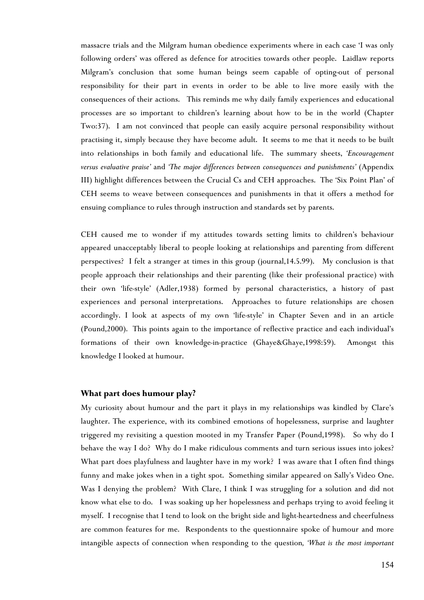massacre trials and the Milgram human obedience experiments where in each case 'I was only following orders' was offered as defence for atrocities towards other people. Laidlaw reports Milgram's conclusion that some human beings seem capable of opting-out of personal responsibility for their part in events in order to be able to live more easily with the consequences of their actions. This reminds me why daily family experiences and educational processes are so important to children's learning about how to be in the world (Chapter Two:37). I am not convinced that people can easily acquire personal responsibility without practising it, simply because they have become adult. It seems to me that it needs to be built into relationships in both family and educational life. The summary sheets, *'Encouragement versus evaluative praise'* and *'The major differences between consequences and punishments'* (Appendix III) highlight differences between the Crucial Cs and CEH approaches. The 'Six Point Plan' of CEH seems to weave between consequences and punishments in that it offers a method for ensuing compliance to rules through instruction and standards set by parents.

CEH caused me to wonder if my attitudes towards setting limits to children's behaviour appeared unacceptably liberal to people looking at relationships and parenting from different perspectives? I felt a stranger at times in this group (journal,14.5.99). My conclusion is that people approach their relationships and their parenting (like their professional practice) with their own 'life-style' (Adler,1938) formed by personal characteristics, a history of past experiences and personal interpretations. Approaches to future relationships are chosen accordingly. I look at aspects of my own 'life-style' in Chapter Seven and in an article (Pound,2000). This points again to the importance of reflective practice and each individual's formations of their own knowledge-in-practice (Ghaye&Ghaye,1998:59). Amongst this knowledge I looked at humour.

#### **What part does humour play?**

My curiosity about humour and the part it plays in my relationships was kindled by Clare's laughter. The experience, with its combined emotions of hopelessness, surprise and laughter triggered my revisiting a question mooted in my Transfer Paper (Pound,1998). So why do I behave the way I do? Why do I make ridiculous comments and turn serious issues into jokes? What part does playfulness and laughter have in my work? I was aware that I often find things funny and make jokes when in a tight spot. Something similar appeared on Sally's Video One. Was I denying the problem? With Clare, I think I was struggling for a solution and did not know what else to do. I was soaking up her hopelessness and perhaps trying to avoid feeling it myself. I recognise that I tend to look on the bright side and light-heartedness and cheerfulness are common features for me. Respondents to the questionnaire spoke of humour and more intangible aspects of connection when responding to the question*, 'What is the most important*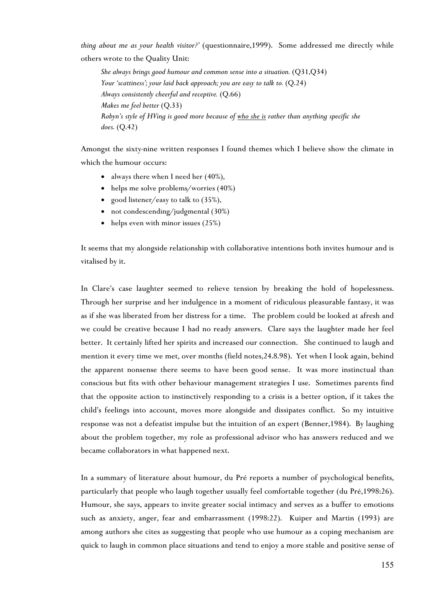*thing about me as your health visitor?'* (questionnaire,1999). Some addressed me directly while others wrote to the Quality Unit:

*She always brings good humour and common sense into a situation.* (Q31,Q34) *Your 'scattiness'; your laid back approach; you are easy to talk to.* (Q.24) *Always consistently cheerful and receptive.* (Q.66) *Makes me feel better* (Q.33) *Robyn's style of HVing is good more because of who she is rather than anything specific she does.* (Q.42)

Amongst the sixty-nine written responses I found themes which I believe show the climate in which the humour occurs:

- always there when I need her (40%),
- helps me solve problems/worries (40%)
- good listener/easy to talk to (35%),
- not condescending/judgmental (30%)
- helps even with minor issues (25%)

It seems that my alongside relationship with collaborative intentions both invites humour and is vitalised by it.

In Clare's case laughter seemed to relieve tension by breaking the hold of hopelessness. Through her surprise and her indulgence in a moment of ridiculous pleasurable fantasy, it was as if she was liberated from her distress for a time. The problem could be looked at afresh and we could be creative because I had no ready answers. Clare says the laughter made her feel better. It certainly lifted her spirits and increased our connection. She continued to laugh and mention it every time we met, over months (field notes,24.8.98). Yet when I look again, behind the apparent nonsense there seems to have been good sense. It was more instinctual than conscious but fits with other behaviour management strategies I use. Sometimes parents find that the opposite action to instinctively responding to a crisis is a better option, if it takes the child's feelings into account, moves more alongside and dissipates conflict. So my intuitive response was not a defeatist impulse but the intuition of an expert (Benner,1984). By laughing about the problem together, my role as professional advisor who has answers reduced and we became collaborators in what happened next.

In a summary of literature about humour, du Pré reports a number of psychological benefits, particularly that people who laugh together usually feel comfortable together (du Pré,1998:26). Humour, she says, appears to invite greater social intimacy and serves as a buffer to emotions such as anxiety, anger, fear and embarrassment (1998:22). Kuiper and Martin (1993) are among authors she cites as suggesting that people who use humour as a coping mechanism are quick to laugh in common place situations and tend to enjoy a more stable and positive sense of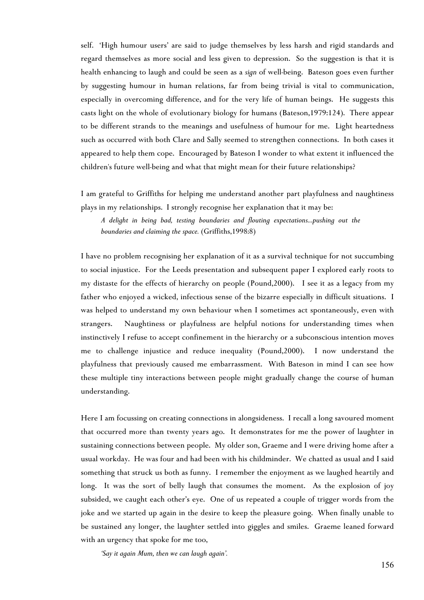self. 'High humour users' are said to judge themselves by less harsh and rigid standards and regard themselves as more social and less given to depression. So the suggestion is that it is health enhancing to laugh and could be seen as a *sign* of well-being. Bateson goes even further by suggesting humour in human relations, far from being trivial is vital to communication, especially in overcoming difference, and for the very life of human beings. He suggests this casts light on the whole of evolutionary biology for humans (Bateson,1979:124). There appear to be different strands to the meanings and usefulness of humour for me. Light heartedness such as occurred with both Clare and Sally seemed to strengthen connections. In both cases it appeared to help them cope. Encouraged by Bateson I wonder to what extent it influenced the children's future well-being and what that might mean for their future relationships?

I am grateful to Griffiths for helping me understand another part playfulness and naughtiness plays in my relationships. I strongly recognise her explanation that it may be:

*A delight in being bad, testing boundaries and flouting expectations...pushing out the boundaries and claiming the space.* (Griffiths,1998:8)

I have no problem recognising her explanation of it as a survival technique for not succumbing to social injustice. For the Leeds presentation and subsequent paper I explored early roots to my distaste for the effects of hierarchy on people (Pound,2000). I see it as a legacy from my father who enjoyed a wicked, infectious sense of the bizarre especially in difficult situations. I was helped to understand my own behaviour when I sometimes act spontaneously, even with strangers. Naughtiness or playfulness are helpful notions for understanding times when instinctively I refuse to accept confinement in the hierarchy or a subconscious intention moves me to challenge injustice and reduce inequality (Pound,2000). I now understand the playfulness that previously caused me embarrassment. With Bateson in mind I can see how these multiple tiny interactions between people might gradually change the course of human understanding.

Here I am focussing on creating connections in alongsideness. I recall a long savoured moment that occurred more than twenty years ago. It demonstrates for me the power of laughter in sustaining connections between people. My older son, Graeme and I were driving home after a usual workday. He was four and had been with his childminder. We chatted as usual and I said something that struck us both as funny. I remember the enjoyment as we laughed heartily and long. It was the sort of belly laugh that consumes the moment. As the explosion of joy subsided, we caught each other's eye. One of us repeated a couple of trigger words from the joke and we started up again in the desire to keep the pleasure going. When finally unable to be sustained any longer, the laughter settled into giggles and smiles. Graeme leaned forward with an urgency that spoke for me too,

*'Say it again Mum, then we can laugh again'.*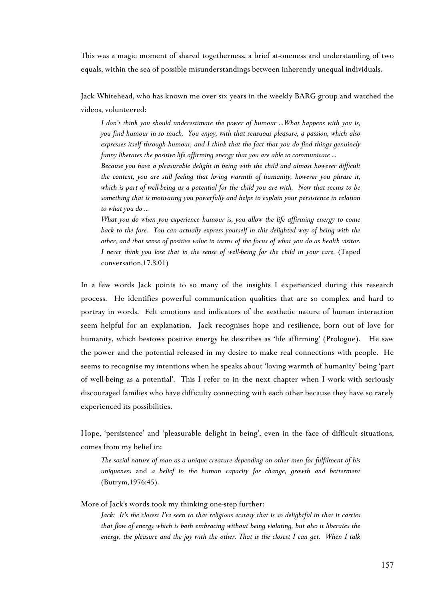This was a magic moment of shared togetherness, a brief at-oneness and understanding of two equals, within the sea of possible misunderstandings between inherently unequal individuals.

Jack Whitehead, who has known me over six years in the weekly BARG group and watched the videos, volunteered:

*I don't think you should underestimate the power of humour ...What happens with you is, you find humour in so much. You enjoy, with that sensuous pleasure, a passion, which also expresses itself through humour, and I think that the fact that you do find things genuinely funny liberates the positive life affirming energy that you are able to communicate ... Because you have a pleasurable delight in being with the child and almost however difficult*

*the context, you are still feeling that loving warmth of humanity, however you phrase it, which is part of well-being as a potential for the child you are with. Now that seems to be something that is motivating you powerfully and helps to explain your persistence in relation to what you do ...*

*What you do when you experience humour is, you allow the life affirming energy to come back to the fore. You can actually express yourself in this delighted way of being with the other, and that sense of positive value in terms of the focus of what you do as health visitor. I never think you lose that in the sense of well-being for the child in your care.* (Taped conversation,17.8.01)

In a few words Jack points to so many of the insights I experienced during this research process. He identifies powerful communication qualities that are so complex and hard to portray in words. Felt emotions and indicators of the aesthetic nature of human interaction seem helpful for an explanation. Jack recognises hope and resilience, born out of love for humanity, which bestows positive energy he describes as 'life affirming' (Prologue). He saw the power and the potential released in my desire to make real connections with people. He seems to recognise my intentions when he speaks about 'loving warmth of humanity' being 'part of well-being as a potential'. This I refer to in the next chapter when I work with seriously discouraged families who have difficulty connecting with each other because they have so rarely experienced its possibilities.

Hope, 'persistence' and 'pleasurable delight in being', even in the face of difficult situations, comes from my belief in:

*The social nature of man as a unique creature depending on other men for fulfilment of his uniqueness* and *a belief in the human capacity for change, growth and betterment* (Butrym,1976:45).

More of Jack's words took my thinking one-step further:

*Jack: It's the closest I've seen to that religious ecstasy that is so delightful in that it carries that flow of energy which is both embracing without being violating, but also it liberates the energy, the pleasure and the joy with the other. That is the closest I can get. When I talk*